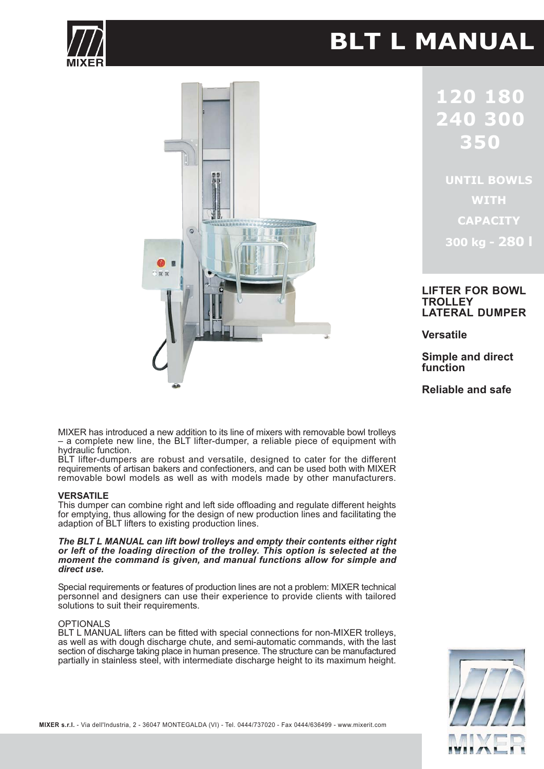# **BLT L MANUAL**





 $\overline{\phantom{0}}$  $\overline{\phantom{a}}$  $\Box$  $\begin{array}{c} \hline \end{array}$ 

**UNTIL BOWLS WITH CAPACITY** 300 kg - 280 l

## **LIFTER FOR BOWL TROLLEY LATERAL DUMPER**

**Versatile** 

**Simple and direct** function

Reliable and safe

MIXER has introduced a new addition to its line of mixers with removable bowl trolleys - a complete new line, the BLT lifter-dumper, a reliable piece of equipment with hydraulic function.

BLT lifter-dumpers are robust and versatile, designed to cater for the different requirements of artisan bakers and confectioners, and can be used both with MIXER removable bowl models as well as with models made by other manufacturers.

### **VERSATILE**

This dumper can combine right and left side offloading and regulate different heights for emptying, thus allowing for the design of new production lines and facilitating the adaption of BLT lifters to existing production lines.

# The BLT L MANUAL can lift bowl trolleys and empty their contents either right or left of the loading direction of the trolley. This option is selected at the moment the command is given, and manual functions allow for simple and direct use.

Special requirements or features of production lines are not a problem: MIXER technical personnel and designers can use their experience to provide clients with tailored solutions to suit their requirements.

## **OPTIONALS**

BLT L MANUAL lifters can be fitted with special connections for non-MIXER trolleys, as well as with dough discharge chute, and semi-automatic commands, with the last section of discharge taking place in human presence. The structure can be manufactured partially in stainless steel, with intermediate discharge height to its maximum height.